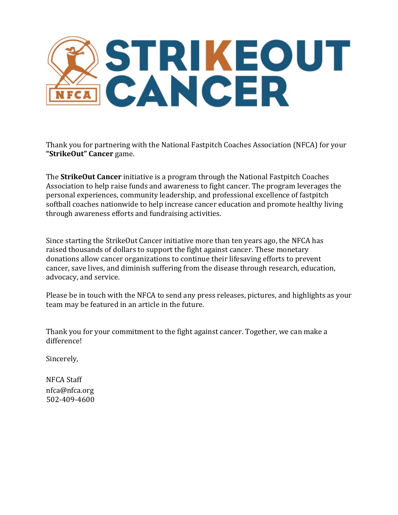

Thank you for partnering with the National Fastpitch Coaches Association (NFCA) for your **"StrikeOut" Cancer** game.

The **StrikeOut Cancer** initiative is a program through the National Fastpitch Coaches Association to help raise funds and awareness to fight cancer. The program leverages the personal experiences, community leadership, and professional excellence of fastpitch softball coaches nationwide to help increase cancer education and promote healthy living through awareness efforts and fundraising activities.

Since starting the StrikeOut Cancer initiative more than ten years ago, the NFCA has raised thousands of dollars to support the fight against cancer. These monetary donations allow cancer organizations to continue their lifesaving efforts to prevent cancer, save lives, and diminish suffering from the disease through research, education, advocacy, and service.

Please be in touch with the NFCA to send any press releases, pictures, and highlights as your team may be featured in an article in the future.

Thank you for your commitment to the fight against cancer. Together, we can make a difference!

Sincerely,

NFCA Staff nfca@nfca.org 502-409-4600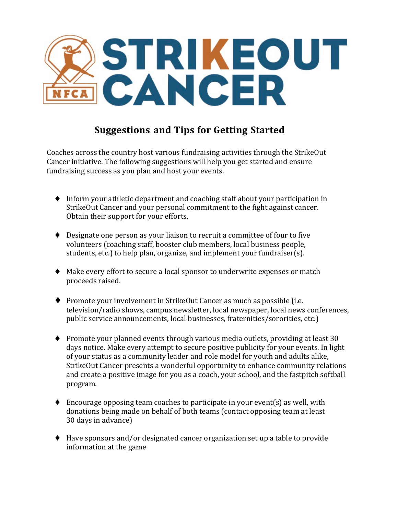

# **Suggestions and Tips for Getting Started**

Coaches across the country host various fundraising activities through the StrikeOut Cancer initiative. The following suggestions will help you get started and ensure fundraising success as you plan and host your events.

- $\blacklozenge$  Inform your athletic department and coaching staff about your participation in StrikeOut Cancer and your personal commitment to the fight against cancer. Obtain their support for your efforts.
- $\blacklozenge$  Designate one person as your liaison to recruit a committee of four to five volunteers (coaching staff, booster club members, local business people, students, etc.) to help plan, organize, and implement your fundraiser(s).
- $\blacklozenge$  Make every effort to secure a local sponsor to underwrite expenses or match proceeds raised.
- $\blacklozenge$  Promote your involvement in StrikeOut Cancer as much as possible (i.e. television/radio shows, campus newsletter, local newspaper, local news conferences, public service announcements, local businesses, fraternities/sororities, etc.)
- $\blacklozenge$  Promote your planned events through various media outlets, providing at least 30 days notice. Make every attempt to secure positive publicity for your events. In light of your status as a community leader and role model for youth and adults alike, StrikeOut Cancer presents a wonderful opportunity to enhance community relations and create a positive image for you as a coach, your school, and the fastpitch softball program.
- $\blacklozenge$  Encourage opposing team coaches to participate in your event(s) as well, with donations being made on behalf of both teams (contact opposing team at least 30 days in advance)
- $\blacklozenge$  Have sponsors and/or designated cancer organization set up a table to provide information at the game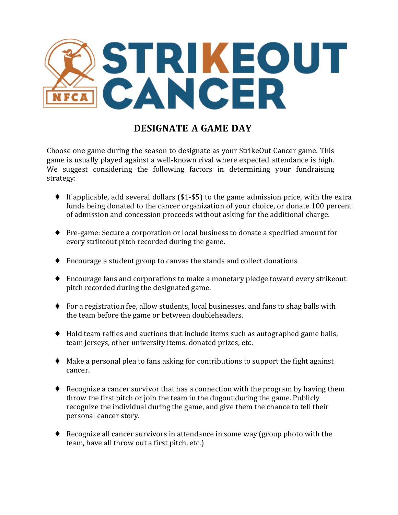

## **DESIGNATE A GAME DAY**

Choose one game during the season to designate as your StrikeOut Cancer game. This game is usually played against a well-known rival where expected attendance is high. We suggest considering the following factors in determining your fundraising strategy:

- $\blacklozenge$  If applicable, add several dollars (\$1-\$5) to the game admission price, with the extra funds being donated to the cancer organization of your choice, or donate 100 percent of admission and concession proceeds without asking for the additional charge.
- ◆ Pre-game: Secure a corporation or local business to donate a specified amount for every strikeout pitch recorded during the game.
- $\blacklozenge$  Encourage a student group to canvas the stands and collect donations
- $\blacklozenge$  Encourage fans and corporations to make a monetary pledge toward every strikeout pitch recorded during the designated game.
- $\blacklozenge$  For a registration fee, allow students, local businesses, and fans to shag balls with the team before the game or between doubleheaders.
- $\blacklozenge$  Hold team raffles and auctions that include items such as autographed game balls, team jerseys, other university items, donated prizes, etc.
- $\blacklozenge$  Make a personal plea to fans asking for contributions to support the fight against cancer.
- $\blacklozenge$  Recognize a cancer survivor that has a connection with the program by having them throw the first pitch or join the team in the dugout during the game. Publicly recognize the individual during the game, and give them the chance to tell their personal cancer story.
- $\blacklozenge$  Recognize all cancer survivors in attendance in some way (group photo with the team, have all throw out a first pitch, etc.)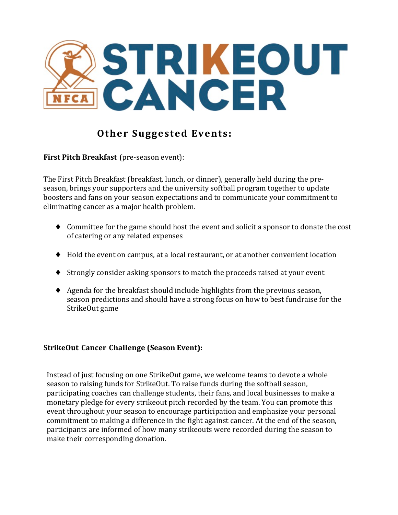

# **Other Suggested Events:**

**First Pitch Breakfast** (pre-season event):

The First Pitch Breakfast (breakfast, lunch, or dinner), generally held during the preseason, brings your supporters and the university softball program together to update boosters and fans on your season expectations and to communicate your commitment to eliminating cancer as a major health problem.

- $\blacklozenge$  Committee for the game should host the event and solicit a sponsor to donate the cost of catering or any related expenses
- $\blacklozenge$  Hold the event on campus, at a local restaurant, or at another convenient location
- $\blacklozenge$  Strongly consider asking sponsors to match the proceeds raised at your event
- $\blacklozenge$  Agenda for the breakfast should include highlights from the previous season, season predictions and should have a strong focus on how to best fundraise for the StrikeOut game

## **StrikeOut Cancer Challenge (Season Event):**

Instead of just focusing on one StrikeOut game, we welcome teams to devote a whole season to raising funds for StrikeOut. To raise funds during the softball season, participating coaches can challenge students, their fans, and local businesses to make a monetary pledge for every strikeout pitch recorded by the team. You can promote this event throughout your season to encourage participation and emphasize your personal commitment to making a difference in the fight against cancer. At the end of the season, participants are informed of how many strikeouts were recorded during the season to make their corresponding donation.